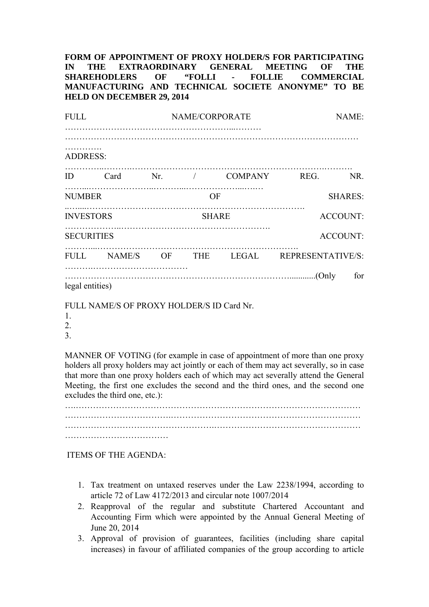**FORM OF APPOINTMENT OF PROXY HOLDER/S FOR PARTICIPATING IN THE EXTRAORDINARY GENERAL MEETING OF THE SHAREHODLERS OF "FOLLI - FOLLIE COMMERCIAL MANUFACTURING AND TECHNICAL SOCIETE ANONYME" TO BE HELD ON DECEMBER 29, 2014** 

| <b>FULL</b>          |  |              | NAME/CORPORATE | NAME:          |                                            |                 |
|----------------------|--|--------------|----------------|----------------|--------------------------------------------|-----------------|
| .<br><b>ADDRESS:</b> |  |              |                |                |                                            |                 |
| ID                   |  |              |                |                | Card Nr. / COMPANY REG. NR.                |                 |
| <b>NUMBER</b>        |  |              | OF             | <b>SHARES:</b> |                                            |                 |
| <b>INVESTORS</b>     |  | <b>SHARE</b> |                |                | <b>ACCOUNT:</b>                            |                 |
| <b>SECURITIES</b>    |  |              |                |                |                                            | <b>ACCOUNT:</b> |
|                      |  |              |                |                | FULL NAME/S OF THE LEGAL REPRESENTATIVE/S: |                 |
| legal entities)      |  |              |                |                |                                            | for             |

FULL NAME/S OF PROXY HOLDER/S ID Card Nr.

MANNER OF VOTING (for example in case of appointment of more than one proxy holders all proxy holders may act jointly or each of them may act severally, so in case that more than one proxy holders each of which may act severally attend the General Meeting, the first one excludes the second and the third ones, and the second one excludes the third one, etc.):

….……………………………………………………………………………………… …………………………………………….…………………………………………… ……………………………………………

ITEMS OF THE AGENDA:

- 1. Tax treatment on untaxed reserves under the Law 2238/1994, according to article 72 of Law 4172/2013 and circular note 1007/2014
- 2. Reapproval of the regular and substitute Chartered Accountant and Accounting Firm which were appointed by the Annual General Meeting of June 20, 2014
- 3. Approval of provision of guarantees, facilities (including share capital increases) in favour of affiliated companies of the group according to article

<sup>1.</sup>  2.

<sup>3.</sup>